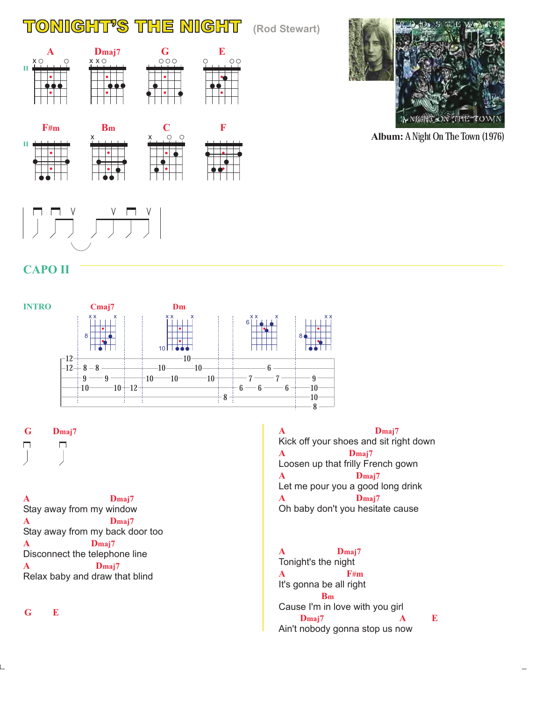## TONIGHTS THE NIGHT **(Rod Stewart)**

**Dmaj7 G**<br> $\chi$ **O** 

**C**

 $\bigcirc$  $\circ$ 

x

**F**

**E**

 $\circ$ 



**Album:** A Night On The Town (1976)

x

 $x \times 0$ 

**Bm**

## **CAPO II**

**II**

**A**  $x \circ$ 

**F#m**

**II**



**G Dmaj7**  $\Box$  $\Box$ 

**A Dmaj7 A Dmaj7 A Dmaj7 A Dmaj7** Stay away from my window Stay away from my back door too Disconnect the telephone line Relax baby and draw that blind

**G E**

**A Dmaj7 A Dmaj7 A Dmaj7 A Dmaj7** Kick off your shoes and sit right down Loosen up that frilly French gown Let me pour you a good long drink Oh baby don't you hesitate cause

**A Dmaj7 A F#m Bm Dmaj7 A E** Tonight's the night It's gonna be all right Cause I'm in love with you girl Ain't nobody gonna stop us now